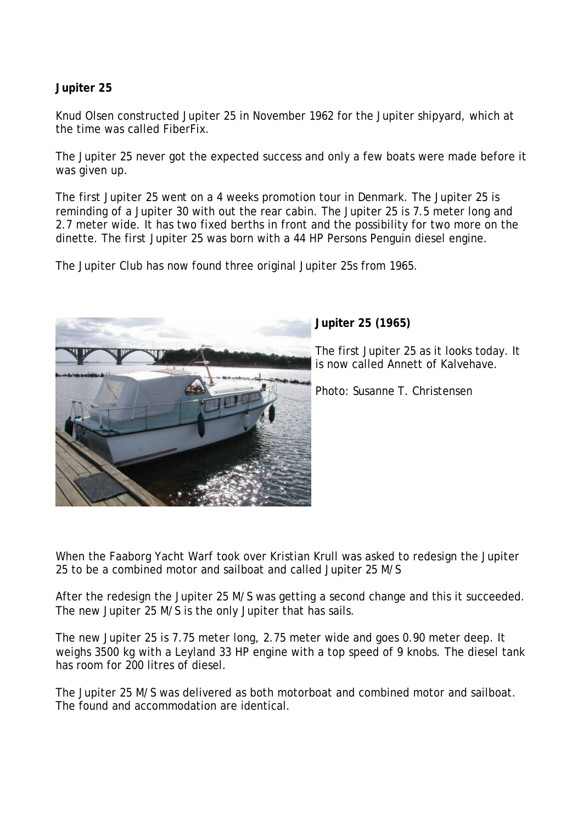## **Jupiter 25**

Knud Olsen constructed Jupiter 25 in November 1962 for the Jupiter shipyard, which at the time was called FiberFix.

The Jupiter 25 never got the expected success and only a few boats were made before it was given up.

The first Jupiter 25 went on a 4 weeks promotion tour in Denmark. The Jupiter 25 is reminding of a Jupiter 30 with out the rear cabin. The Jupiter 25 is 7.5 meter long and 2.7 meter wide. It has two fixed berths in front and the possibility for two more on the dinette. The first Jupiter 25 was born with a 44 HP Persons Penguin diesel engine.

The Jupiter Club has now found three original Jupiter 25s from 1965.



## **Jupiter 25 (1965)**

The first Jupiter 25 as it looks today. It is now called Annett of Kalvehave.

Photo: Susanne T. Christensen

When the Faaborg Yacht Warf took over Kristian Krull was asked to redesign the Jupiter 25 to be a combined motor and sailboat and called Jupiter 25 M/S

After the redesign the Jupiter 25 M/S was getting a second change and this it succeeded. The new Jupiter 25 M/S is the only Jupiter that has sails.

The new Jupiter 25 is 7.75 meter long, 2.75 meter wide and goes 0.90 meter deep. It weighs 3500 kg with a Leyland 33 HP engine with a top speed of 9 knobs. The diesel tank has room for 200 litres of diesel.

The Jupiter 25 M/S was delivered as both motorboat and combined motor and sailboat. The found and accommodation are identical.